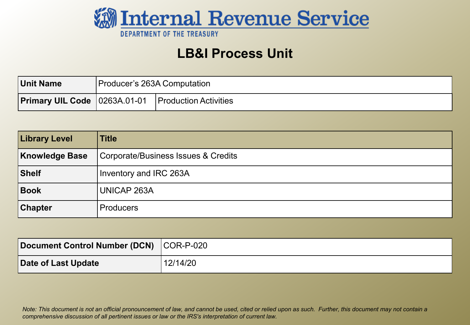

### **LB&I Process Unit**

| <b>Unit Name</b> | Producer's 263A Computation |                                                               |
|------------------|-----------------------------|---------------------------------------------------------------|
|                  |                             | <b>Primary UIL Code</b>   0263A.01-01   Production Activities |

| <b>Library Level</b>  | <b>Title</b>                        |
|-----------------------|-------------------------------------|
| <b>Knowledge Base</b> | Corporate/Business Issues & Credits |
| Shelf                 | Inventory and IRC 263A              |
| Book                  | <b>UNICAP 263A</b>                  |
| <b>Chapter</b>        | <b>Producers</b>                    |

| Document Control Number (DCN) COR-P-020 |          |
|-----------------------------------------|----------|
| Date of Last Update                     | 12/14/20 |

*Note: This document is not an official pronouncement of law, and cannot be used, cited or relied upon as such. Further, this document may not contain a comprehensive discussion of all pertinent issues or law or the IRS's interpretation of current law.*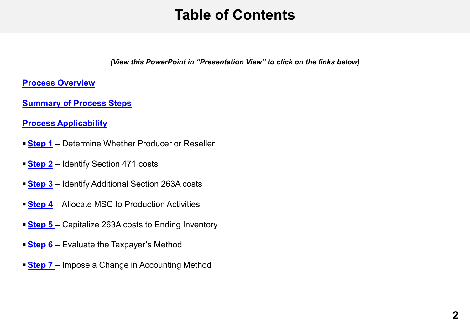## **Table of Contents**

*(View this PowerPoint in "Presentation View" to click on the links below)*

<span id="page-1-0"></span>**[Process Overview](#page-3-0)**

**[Summary of Process Steps](#page-6-0)**

**[Process Applicability](#page-4-0)** 

- **[Step 1](#page-8-0)** Determine Whether Producer or Reseller
- **[Step 2](#page-10-0)** Identify Section 471 costs
- **[Step 3](#page-14-0)** Identify Additional Section 263A costs
- **[Step 4](#page-18-0)** Allocate MSC to Production Activities
- **[Step 5](#page-22-0)**  Capitalize 263A costs to Ending Inventory
- **Step 6** Evaluate the Taxpayer's Method
- **Step 7** Impose a Change in Accounting Method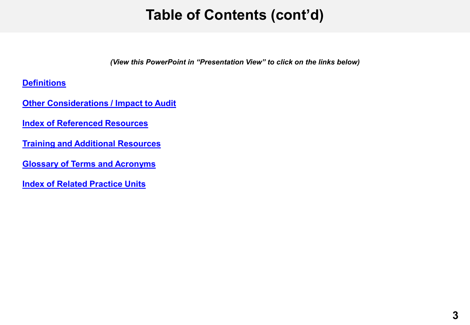## **Table of Contents (cont'd)**

*(View this PowerPoint in "Presentation View" to click on the links below)*

**[Definitions](#page-32-0)**

**[Other Considerations / Impact to Audit](#page-33-0)** 

**[Index of Referenced Resources](#page-34-0)**

**[Training and Additional Resources](#page-36-0)**

**[Glossary of Terms and Acronyms](#page-37-0)**

**[Index of Related Practice Units](#page-38-0)**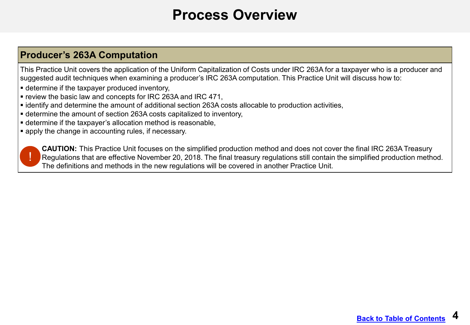### **Process Overview**

### <span id="page-3-0"></span>**Producer's 263A Computation**

This Practice Unit covers the application of the Uniform Capitalization of Costs under IRC 263A for a taxpayer who is a producer and suggested audit techniques when examining a producer's IRC 263A computation. This Practice Unit will discuss how to:

- determine if the taxpayer produced inventory,
- review the basic law and concepts for IRC 263A and IRC 471,
- identify and determine the amount of additional section 263A costs allocable to production activities,
- determine the amount of section 263A costs capitalized to inventory,
- determine if the taxpayer's allocation method is reasonable,
- **Examply the change in accounting rules, if necessary.**



**CAUTION:** This Practice Unit focuses on the simplified production method and does not cover the final IRC 263A Treasury Regulations that are effective November 20, 2018. The final treasury regulations still contain the simplified production method. The definitions and methods in the new regulations will be covered in another Practice Unit.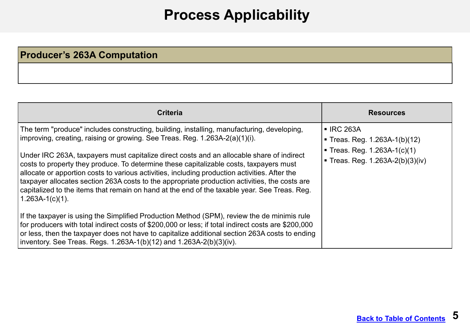## **Process Applicability**

### <span id="page-4-0"></span>**Producer's 263A Computation**

| Criteria                                                                                                                                                                                                                                                                                                                                                                    | <b>Resources</b>                                                                                                    |
|-----------------------------------------------------------------------------------------------------------------------------------------------------------------------------------------------------------------------------------------------------------------------------------------------------------------------------------------------------------------------------|---------------------------------------------------------------------------------------------------------------------|
| The term "produce" includes constructing, building, installing, manufacturing, developing,<br>improving, creating, raising or growing. See Treas. Reg. 1.263A-2(a)(1)(i).<br>Under IRC 263A, taxpayers must capitalize direct costs and an allocable share of indirect<br>costs to property they produce. To determine these capitalizable costs, taxpayers must            | ■ IRC 263A<br>■ Treas. Reg. $1.263A-1(b)(12)$<br>■ Treas. Reg. 1.263A-1(c)(1)<br>■ Treas. Reg. $1.263A-2(b)(3)(iv)$ |
| allocate or apportion costs to various activities, including production activities. After the<br>taxpayer allocates section 263A costs to the appropriate production activities, the costs are<br>capitalized to the items that remain on hand at the end of the taxable year. See Treas. Reg.<br>$1.263A-1(c)(1)$ .                                                        |                                                                                                                     |
| If the taxpayer is using the Simplified Production Method (SPM), review the de minimis rule<br>for producers with total indirect costs of \$200,000 or less; if total indirect costs are \$200,000<br>or less, then the taxpayer does not have to capitalize additional section 263A costs to ending<br>inventory. See Treas. Regs. 1.263A-1(b)(12) and 1.263A-2(b)(3)(iv). |                                                                                                                     |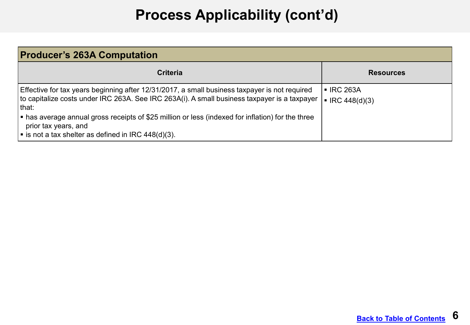# **Process Applicability (cont'd)**

| <b>Producer's 263A Computation</b>                                                                                                                                                                      |                                                         |  |
|---------------------------------------------------------------------------------------------------------------------------------------------------------------------------------------------------------|---------------------------------------------------------|--|
| Criteria                                                                                                                                                                                                | <b>Resources</b>                                        |  |
| Effective for tax years beginning after 12/31/2017, a small business taxpayer is not required<br>to capitalize costs under IRC 263A. See IRC 263A(i). A small business taxpayer is a taxpayer<br>∣that: | $\blacksquare$ IRC 263A<br>$\blacksquare$ IRC 448(d)(3) |  |
| $\vert$ • has average annual gross receipts of \$25 million or less (indexed for inflation) for the three<br>prior tax years, and<br>I ■ is not a tax shelter as defined in IRC 448(d)(3).              |                                                         |  |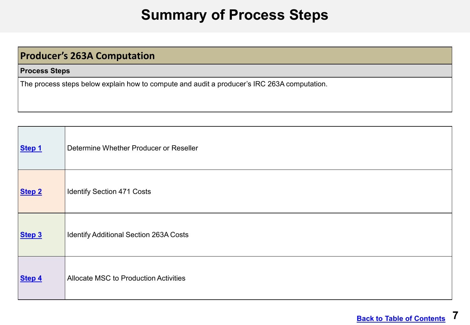### **Summary of Process Steps**

### <span id="page-6-0"></span>**Producer's 263A Computation**

#### **Process Steps**

The process steps below explain how to compute and audit a producer's IRC 263A computation.

| Step 1 | Determine Whether Producer or Reseller        |
|--------|-----------------------------------------------|
| Step 2 | <b>Identify Section 471 Costs</b>             |
| Step 3 | <b>Identify Additional Section 263A Costs</b> |
| Step 4 | <b>Allocate MSC to Production Activities</b>  |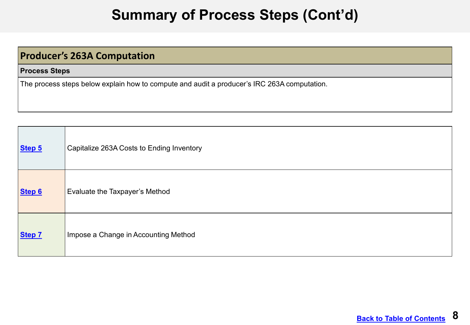## **Summary of Process Steps (Cont'd)**

### **Producer's 263A Computation**

#### **Process Steps**

The process steps below explain how to compute and audit a producer's IRC 263A computation.

| Step 5 | Capitalize 263A Costs to Ending Inventory |
|--------|-------------------------------------------|
| Step 6 | Evaluate the Taxpayer's Method            |
| Step 7 | Impose a Change in Accounting Method      |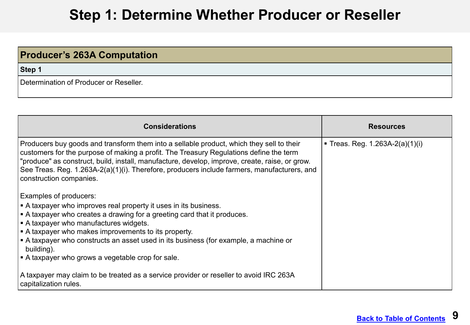### **Step 1: Determine Whether Producer or Reseller**

<span id="page-8-0"></span>

| <b>Producer's 263A Computation</b>     |  |
|----------------------------------------|--|
| Step 1                                 |  |
| Determination of Producer or Reseller. |  |

| <b>Considerations</b>                                                                                                                                                                                                                                                                                                                                                                                                                                                  | <b>Resources</b>                |
|------------------------------------------------------------------------------------------------------------------------------------------------------------------------------------------------------------------------------------------------------------------------------------------------------------------------------------------------------------------------------------------------------------------------------------------------------------------------|---------------------------------|
| Producers buy goods and transform them into a sellable product, which they sell to their<br>customers for the purpose of making a profit. The Treasury Regulations define the term<br> "produce" as construct, build, install, manufacture, develop, improve, create, raise, or grow.<br>See Treas. Reg. 1.263A-2(a)(1)(i). Therefore, producers include farmers, manufacturers, and<br>construction companies.                                                        | ■ Treas. Reg. 1.263A-2(a)(1)(i) |
| <b>Examples of producers:</b><br>A taxpayer who improves real property it uses in its business.<br>$\vert$ = A taxpayer who creates a drawing for a greeting card that it produces.<br>$\vert$ • A taxpayer who manufactures widgets.<br>$\vert$ • A taxpayer who makes improvements to its property.<br>A taxpayer who constructs an asset used in its business (for example, a machine or<br>building).<br>$\vert$ • A taxpayer who grows a vegetable crop for sale. |                                 |
| A taxpayer may claim to be treated as a service provider or reseller to avoid IRC 263A<br>capitalization rules.                                                                                                                                                                                                                                                                                                                                                        |                                 |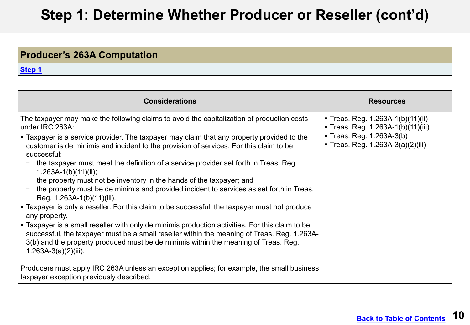#### **DRAFT Step 1: Determine Whether Producer or Reseller (cont'd)**

### **Producer's 263A Computation**

| <b>Considerations</b>                                                                                                                                                                                                                                                                                            | <b>Resources</b>                                                             |
|------------------------------------------------------------------------------------------------------------------------------------------------------------------------------------------------------------------------------------------------------------------------------------------------------------------|------------------------------------------------------------------------------|
| The taxpayer may make the following claims to avoid the capitalization of production costs<br>under IRC 263A:                                                                                                                                                                                                    | ■ Treas. Reg. 1.263A-1(b)(11)(ii)<br><b>Treas. Reg. 1.263A-1(b)(11)(iii)</b> |
| • Taxpayer is a service provider. The taxpayer may claim that any property provided to the<br>customer is de minimis and incident to the provision of services. For this claim to be<br>successful:                                                                                                              | ■ Treas. Reg. 1.263A-3(b)<br>■ Treas. Reg. 1.263A-3(a)(2)(iii)               |
| the taxpayer must meet the definition of a service provider set forth in Treas. Reg.<br>$1.263A-1(b)(11)(ii);$                                                                                                                                                                                                   |                                                                              |
| the property must not be inventory in the hands of the taxpayer; and<br>the property must be de minimis and provided incident to services as set forth in Treas.<br>Reg. 1.263A-1(b)(11)(iii).                                                                                                                   |                                                                              |
| ■ Taxpayer is only a reseller. For this claim to be successful, the taxpayer must not produce<br>any property.                                                                                                                                                                                                   |                                                                              |
| • Taxpayer is a small reseller with only de minimis production activities. For this claim to be<br>successful, the taxpayer must be a small reseller within the meaning of Treas. Reg. 1.263A-<br>3(b) and the property produced must be de minimis within the meaning of Treas. Reg.<br>$1.263A-3(a)(2)(iii)$ . |                                                                              |
| Producers must apply IRC 263A unless an exception applies; for example, the small business<br>taxpayer exception previously described.                                                                                                                                                                           |                                                                              |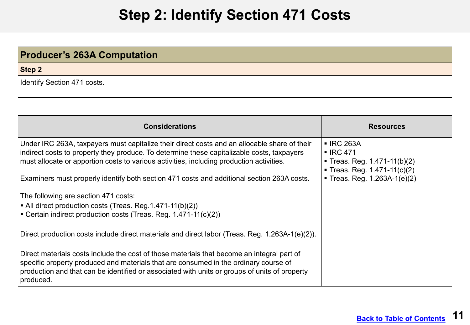## **Step 2: Identify Section 471 Costs**

### <span id="page-10-0"></span>**Producer's 263A Computation**

**Step 2**

Identify Section 471 costs.

| <b>Considerations</b>                                                                                                                                                                                                                                                                                                                                                                | <b>Resources</b>                                                                                                                              |
|--------------------------------------------------------------------------------------------------------------------------------------------------------------------------------------------------------------------------------------------------------------------------------------------------------------------------------------------------------------------------------------|-----------------------------------------------------------------------------------------------------------------------------------------------|
| Under IRC 263A, taxpayers must capitalize their direct costs and an allocable share of their<br>indirect costs to property they produce. To determine these capitalizable costs, taxpayers<br>must allocate or apportion costs to various activities, including production activities.<br>Examiners must properly identify both section 471 costs and additional section 263A costs. | <b>- IRC 263A</b><br>$\blacksquare$ IRC 471<br>Treas. Reg. 1.471-11(b)(2)<br>■ Treas. Reg. $1.471-11(c)(2)$<br>■ Treas. Reg. $1.263A-1(e)(2)$ |
| The following are section 471 costs:<br>$\vert$ • All direct production costs (Treas. Reg.1.471-11(b)(2))<br><b>EXECUTE:</b> Certain indirect production costs (Treas. Reg. 1.471-11(c)(2))                                                                                                                                                                                          |                                                                                                                                               |
| Direct production costs include direct materials and direct labor (Treas. Reg. 1.263A-1(e)(2)).                                                                                                                                                                                                                                                                                      |                                                                                                                                               |
| Direct materials costs include the cost of those materials that become an integral part of<br>specific property produced and materials that are consumed in the ordinary course of<br>production and that can be identified or associated with units or groups of units of property<br>produced.                                                                                     |                                                                                                                                               |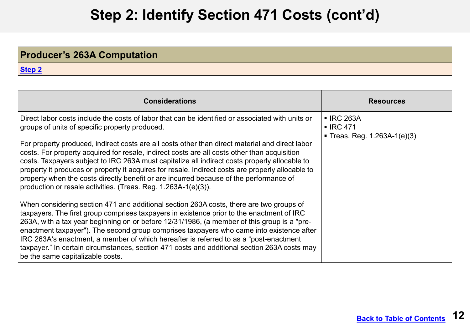## **Step 2: Identify Section 471 Costs (cont'd)**

### **Producer's 263A Computation**

| <b>Considerations</b>                                                                                                                                                                                                                                                                                                                                                                                                                                                                                                                                                                                                                                                                                                   | <b>Resources</b>                                                     |
|-------------------------------------------------------------------------------------------------------------------------------------------------------------------------------------------------------------------------------------------------------------------------------------------------------------------------------------------------------------------------------------------------------------------------------------------------------------------------------------------------------------------------------------------------------------------------------------------------------------------------------------------------------------------------------------------------------------------------|----------------------------------------------------------------------|
| Direct labor costs include the costs of labor that can be identified or associated with units or<br>groups of units of specific property produced.<br>For property produced, indirect costs are all costs other than direct material and direct labor<br>costs. For property acquired for resale, indirect costs are all costs other than acquisition<br>costs. Taxpayers subject to IRC 263A must capitalize all indirect costs properly allocable to<br>property it produces or property it acquires for resale. Indirect costs are properly allocable to<br>property when the costs directly benefit or are incurred because of the performance of<br>production or resale activities. (Treas. Reg. 1.263A-1(e)(3)). | ■ IRC 263A<br>$\blacksquare$ IRC 471<br>■ Treas. Reg. 1.263A-1(e)(3) |
| When considering section 471 and additional section 263A costs, there are two groups of<br>taxpayers. The first group comprises taxpayers in existence prior to the enactment of IRC<br>263A, with a tax year beginning on or before 12/31/1986, (a member of this group is a "pre-<br>enactment taxpayer"). The second group comprises taxpayers who came into existence after<br>IRC 263A's enactment, a member of which hereafter is referred to as a "post-enactment"<br>taxpayer." In certain circumstances, section 471 costs and additional section 263A costs may<br>be the same capitalizable costs.                                                                                                           |                                                                      |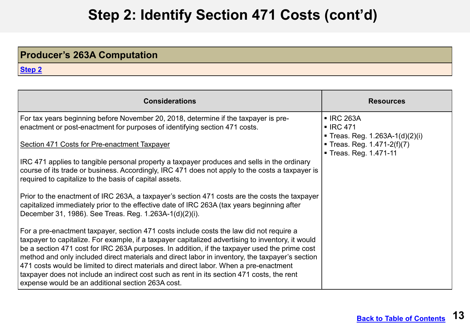## **Step 2: Identify Section 471 Costs (cont'd) <sup>2</sup>**

### **Producer's 263A Computation**

| <b>Considerations</b>                                                                                                                                                                                                                                                                                                                                                                                                                                                                                                                                                                                                                        | <b>Resources</b>                                                                       |
|----------------------------------------------------------------------------------------------------------------------------------------------------------------------------------------------------------------------------------------------------------------------------------------------------------------------------------------------------------------------------------------------------------------------------------------------------------------------------------------------------------------------------------------------------------------------------------------------------------------------------------------------|----------------------------------------------------------------------------------------|
| For tax years beginning before November 20, 2018, determine if the taxpayer is pre-<br>enactment or post-enactment for purposes of identifying section 471 costs.                                                                                                                                                                                                                                                                                                                                                                                                                                                                            | <b>- IRC 263A</b><br>$\blacksquare$ IRC 471                                            |
| Section 471 Costs for Pre-enactment Taxpayer                                                                                                                                                                                                                                                                                                                                                                                                                                                                                                                                                                                                 | Treas. Reg. $1.263A-1(d)(2)(i)$<br>Treas. Reg. $1.471-2(f)(7)$<br>Treas. Reg. 1.471-11 |
| IRC 471 applies to tangible personal property a taxpayer produces and sells in the ordinary<br>course of its trade or business. Accordingly, IRC 471 does not apply to the costs a taxpayer is<br>required to capitalize to the basis of capital assets.                                                                                                                                                                                                                                                                                                                                                                                     |                                                                                        |
| Prior to the enactment of IRC 263A, a taxpayer's section 471 costs are the costs the taxpayer<br>capitalized immediately prior to the effective date of IRC 263A (tax years beginning after<br>December 31, 1986). See Treas. Reg. 1.263A-1(d)(2)(i).                                                                                                                                                                                                                                                                                                                                                                                        |                                                                                        |
| For a pre-enactment taxpayer, section 471 costs include costs the law did not require a<br>taxpayer to capitalize. For example, if a taxpayer capitalized advertising to inventory, it would<br>be a section 471 cost for IRC 263A purposes. In addition, if the taxpayer used the prime cost<br>method and only included direct materials and direct labor in inventory, the taxpayer's section<br>471 costs would be limited to direct materials and direct labor. When a pre-enactment<br>taxpayer does not include an indirect cost such as rent in its section 471 costs, the rent<br>expense would be an additional section 263A cost. |                                                                                        |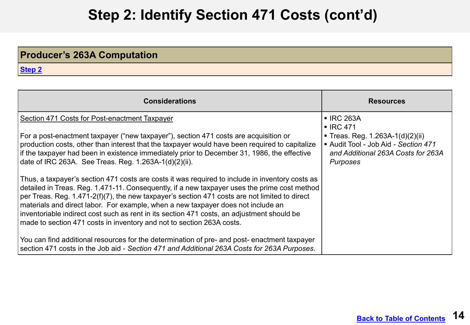## **Step 2: Identify Section 471 Costs (cont'd) <sup>3</sup>**

### **Producer's 263A Computation**

| <b>Considerations</b>                                                                                                                                                                                                                                                                                                                                                                                                                                                                                                                                       | <b>Resources</b>                                                                                                                                                        |
|-------------------------------------------------------------------------------------------------------------------------------------------------------------------------------------------------------------------------------------------------------------------------------------------------------------------------------------------------------------------------------------------------------------------------------------------------------------------------------------------------------------------------------------------------------------|-------------------------------------------------------------------------------------------------------------------------------------------------------------------------|
| Section 471 Costs for Post-enactment Taxpayer<br>For a post-enactment taxpayer ("new taxpayer"), section 471 costs are acquisition or<br>production costs, other than interest that the taxpayer would have been required to capitalize<br>if the taxpayer had been in existence immediately prior to December 31, 1986, the effective<br>date of IRC 263A. See Treas. Reg. 1.263A-1(d)(2)(ii).                                                                                                                                                             | <b>- IRC 263A</b><br>$\blacksquare$ IRC 471<br>■ Treas. Reg. 1.263A-1(d)(2)(ii)<br>Audit Tool - Job Aid - Section 471<br>and Additional 263A Costs for 263A<br>Purposes |
| Thus, a taxpayer's section 471 costs are costs it was required to include in inventory costs as<br>detailed in Treas. Reg. 1.471-11. Consequently, if a new taxpayer uses the prime cost method<br>per Treas. Reg. 1.471-2(f)(7), the new taxpayer's section 471 costs are not limited to direct<br>materials and direct labor. For example, when a new taxpayer does not include an<br>inventoriable indirect cost such as rent in its section 471 costs, an adjustment should be<br>made to section 471 costs in inventory and not to section 263A costs. |                                                                                                                                                                         |
| You can find additional resources for the determination of pre- and post- enactment taxpayer<br>section 471 costs in the Job aid - Section 471 and Additional 263A Costs for 263A Purposes.                                                                                                                                                                                                                                                                                                                                                                 |                                                                                                                                                                         |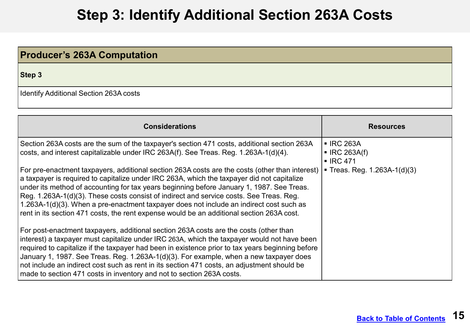## **Step 3: Identify Additional Section 263A Costs**

<span id="page-14-0"></span>

| <b>Producer's 263A Computation</b>     |
|----------------------------------------|
| Step 3                                 |
| Identify Additional Section 263A costs |

| <b>Considerations</b>                                                                                                                                                                                                                                                                                                                                                                                                                                                                                                                                                        | <b>Resources</b>                                                   |
|------------------------------------------------------------------------------------------------------------------------------------------------------------------------------------------------------------------------------------------------------------------------------------------------------------------------------------------------------------------------------------------------------------------------------------------------------------------------------------------------------------------------------------------------------------------------------|--------------------------------------------------------------------|
| Section 263A costs are the sum of the taxpayer's section 471 costs, additional section 263A<br>costs, and interest capitalizable under IRC 263A(f). See Treas. Reg. 1.263A-1(d)(4).                                                                                                                                                                                                                                                                                                                                                                                          | ■ IRC 263A<br>$\blacksquare$ IRC 263A(f)<br>$\blacksquare$ IRC 471 |
| For pre-enactment taxpayers, additional section 263A costs are the costs (other than interest)<br>a taxpayer is required to capitalize under IRC 263A, which the taxpayer did not capitalize<br>under its method of accounting for tax years beginning before January 1, 1987. See Treas.<br>Reg. 1.263A-1(d)(3). These costs consist of indirect and service costs. See Treas. Reg.<br>1.263A-1(d)(3). When a pre-enactment taxpayer does not include an indirect cost such as<br>rent in its section 471 costs, the rent expense would be an additional section 263A cost. | ■ Treas. Reg. $1.263A-1(d)(3)$                                     |
| For post-enactment taxpayers, additional section 263A costs are the costs (other than<br>interest) a taxpayer must capitalize under IRC 263A, which the taxpayer would not have been<br>required to capitalize if the taxpayer had been in existence prior to tax years beginning before<br>January 1, 1987. See Treas. Reg. 1.263A-1(d)(3). For example, when a new taxpayer does<br>not include an indirect cost such as rent in its section 471 costs, an adjustment should be<br>made to section 471 costs in inventory and not to section 263A costs.                   |                                                                    |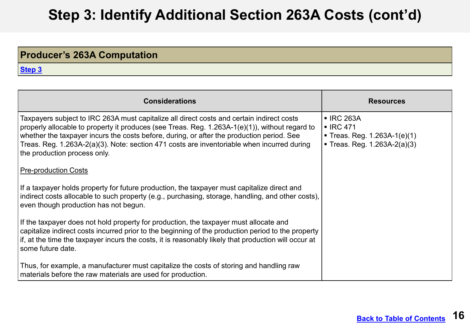## **Step 3: Identify Additional Section 263A Costs (cont'd)**

### **Producer's 263A Computation**

| <b>Considerations</b>                                                                                                                                                                                                                                                                                                                                                                                                  | <b>Resources</b>                                                                                                    |
|------------------------------------------------------------------------------------------------------------------------------------------------------------------------------------------------------------------------------------------------------------------------------------------------------------------------------------------------------------------------------------------------------------------------|---------------------------------------------------------------------------------------------------------------------|
| Taxpayers subject to IRC 263A must capitalize all direct costs and certain indirect costs<br>properly allocable to property it produces (see Treas. Reg. 1.263A-1(e)(1)), without regard to<br>whether the taxpayer incurs the costs before, during, or after the production period. See<br>Treas. Reg. 1.263A-2(a)(3). Note: section 471 costs are inventoriable when incurred during<br>the production process only. | $\blacksquare$ IRC 263A<br>$\blacksquare$ IRC 471<br>■ Treas. Reg. $1.263A-1(e)(1)$<br>■ Treas. Reg. 1.263A-2(a)(3) |
| <b>Pre-production Costs</b>                                                                                                                                                                                                                                                                                                                                                                                            |                                                                                                                     |
| If a taxpayer holds property for future production, the taxpayer must capitalize direct and<br>indirect costs allocable to such property (e.g., purchasing, storage, handling, and other costs),<br>even though production has not begun.                                                                                                                                                                              |                                                                                                                     |
| If the taxpayer does not hold property for production, the taxpayer must allocate and<br>capitalize indirect costs incurred prior to the beginning of the production period to the property<br>if, at the time the taxpayer incurs the costs, it is reasonably likely that production will occur at<br>some future date.                                                                                               |                                                                                                                     |
| Thus, for example, a manufacturer must capitalize the costs of storing and handling raw<br>materials before the raw materials are used for production.                                                                                                                                                                                                                                                                 |                                                                                                                     |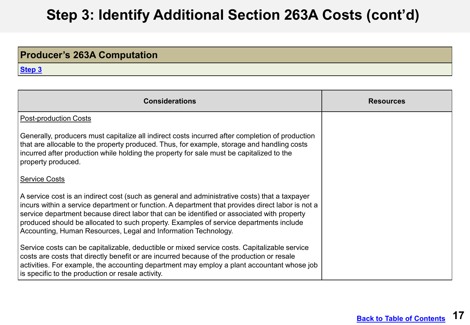#### **DRAFT Step 3: Identify Additional Section 263A Costs (cont'd) <sup>2</sup>**

### **Producer's 263A Computation**

| <b>Considerations</b>                                                                                                                                                                                                                                                                                                                                                                                                                                       | <b>Resources</b> |
|-------------------------------------------------------------------------------------------------------------------------------------------------------------------------------------------------------------------------------------------------------------------------------------------------------------------------------------------------------------------------------------------------------------------------------------------------------------|------------------|
| <b>Post-production Costs</b>                                                                                                                                                                                                                                                                                                                                                                                                                                |                  |
| Generally, producers must capitalize all indirect costs incurred after completion of production<br>that are allocable to the property produced. Thus, for example, storage and handling costs<br>incurred after production while holding the property for sale must be capitalized to the<br>property produced.                                                                                                                                             |                  |
| <b>Service Costs</b>                                                                                                                                                                                                                                                                                                                                                                                                                                        |                  |
| A service cost is an indirect cost (such as general and administrative costs) that a taxpayer<br>incurs within a service department or function. A department that provides direct labor is not a<br>service department because direct labor that can be identified or associated with property<br>produced should be allocated to such property. Examples of service departments include<br>Accounting, Human Resources, Legal and Information Technology. |                  |
| Service costs can be capitalizable, deductible or mixed service costs. Capitalizable service<br>costs are costs that directly benefit or are incurred because of the production or resale<br>activities. For example, the accounting department may employ a plant accountant whose job<br>is specific to the production or resale activity.                                                                                                                |                  |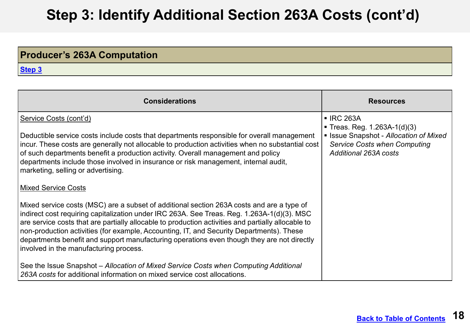#### **DRAFT Step 3: Identify Additional Section 263A Costs (cont'd) <sup>3</sup>**

### **Producer's 263A Computation**

| <b>Considerations</b>                                                                                                                                                                                                                                                                                                                                                                                                                                                                                                             | <b>Resources</b>                                                                                                                                           |
|-----------------------------------------------------------------------------------------------------------------------------------------------------------------------------------------------------------------------------------------------------------------------------------------------------------------------------------------------------------------------------------------------------------------------------------------------------------------------------------------------------------------------------------|------------------------------------------------------------------------------------------------------------------------------------------------------------|
| Service Costs (cont'd)<br>Deductible service costs include costs that departments responsible for overall management<br>incur. These costs are generally not allocable to production activities when no substantial cost<br>of such departments benefit a production activity. Overall management and policy<br>departments include those involved in insurance or risk management, internal audit,<br>marketing, selling or advertising.                                                                                         | ■ IRC 263A<br>■ Treas. Reg. 1.263A-1(d)(3)<br><b>Elssue Snapshot - Allocation of Mixed</b><br><b>Service Costs when Computing</b><br>Additional 263A costs |
| <b>Mixed Service Costs</b>                                                                                                                                                                                                                                                                                                                                                                                                                                                                                                        |                                                                                                                                                            |
| Mixed service costs (MSC) are a subset of additional section 263A costs and are a type of<br>indirect cost requiring capitalization under IRC 263A. See Treas. Reg. 1.263A-1(d)(3). MSC<br>are service costs that are partially allocable to production activities and partially allocable to<br>non-production activities (for example, Accounting, IT, and Security Departments). These<br>departments benefit and support manufacturing operations even though they are not directly<br>involved in the manufacturing process. |                                                                                                                                                            |
| See the Issue Snapshot – Allocation of Mixed Service Costs when Computing Additional<br>263A costs for additional information on mixed service cost allocations.                                                                                                                                                                                                                                                                                                                                                                  |                                                                                                                                                            |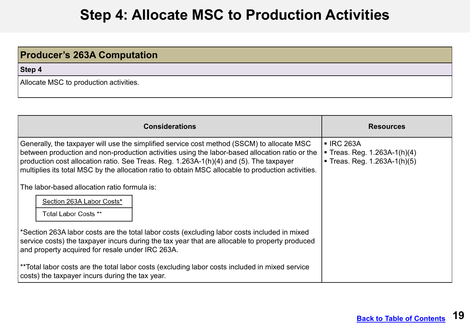## **Step 4: Allocate MSC to Production Activities**

# <span id="page-18-0"></span>**Producer's 263A Computation Step 4** Allocate MSC to production activities.

| <b>Considerations</b>                                                                                                                                                                                                                                                                                                                                                                        | <b>Resources</b>                                                             |
|----------------------------------------------------------------------------------------------------------------------------------------------------------------------------------------------------------------------------------------------------------------------------------------------------------------------------------------------------------------------------------------------|------------------------------------------------------------------------------|
| Generally, the taxpayer will use the simplified service cost method (SSCM) to allocate MSC<br>between production and non-production activities using the labor-based allocation ratio or the<br>production cost allocation ratio. See Treas. Reg. 1.263A-1(h)(4) and (5). The taxpayer<br>multiplies its total MSC by the allocation ratio to obtain MSC allocable to production activities. | ■ IRC 263A<br>■ Treas. Reg. 1.263A-1(h)(4)<br>■ Treas. Reg. $1.263A-1(h)(5)$ |
| The labor-based allocation ratio formula is:                                                                                                                                                                                                                                                                                                                                                 |                                                                              |
| Section 263A Labor Costs*<br>Total Labor Costs **                                                                                                                                                                                                                                                                                                                                            |                                                                              |
| *Section 263A labor costs are the total labor costs (excluding labor costs included in mixed<br>service costs) the taxpayer incurs during the tax year that are allocable to property produced<br>and property acquired for resale under IRC 263A.                                                                                                                                           |                                                                              |
| **Total labor costs are the total labor costs (excluding labor costs included in mixed service<br>costs) the taxpayer incurs during the tax year.                                                                                                                                                                                                                                            |                                                                              |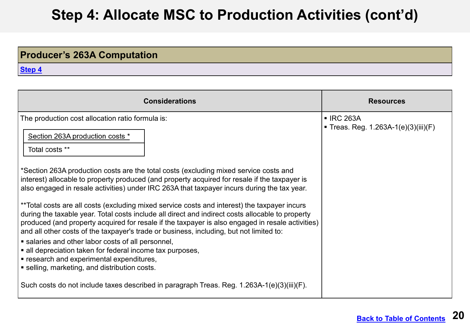## **Step 4: Allocate MSC to Production Activities (cont'd)**

### **Producer's 263A Computation**

| <b>Considerations</b>                                                                                                                                                                                                                                                                                                                                                                                                                                                                                                                                                                         | <b>Resources</b>                                 |
|-----------------------------------------------------------------------------------------------------------------------------------------------------------------------------------------------------------------------------------------------------------------------------------------------------------------------------------------------------------------------------------------------------------------------------------------------------------------------------------------------------------------------------------------------------------------------------------------------|--------------------------------------------------|
| The production cost allocation ratio formula is:<br>Section 263A production costs *<br>Total costs **                                                                                                                                                                                                                                                                                                                                                                                                                                                                                         | ■ IRC 263A<br>Treas. Reg. 1.263A-1(e)(3)(iii)(F) |
| *Section 263A production costs are the total costs (excluding mixed service costs and<br>interest) allocable to property produced (and property acquired for resale if the taxpayer is<br>also engaged in resale activities) under IRC 263A that taxpayer incurs during the tax year.<br>**Total costs are all costs (excluding mixed service costs and interest) the taxpayer incurs<br>during the taxable year. Total costs include all direct and indirect costs allocable to property<br>produced (and property acquired for resale if the taxpayer is also engaged in resale activities) |                                                  |
| and all other costs of the taxpayer's trade or business, including, but not limited to:<br>• salaries and other labor costs of all personnel,<br>• all depreciation taken for federal income tax purposes,<br>■ research and experimental expenditures,<br>■ selling, marketing, and distribution costs.                                                                                                                                                                                                                                                                                      |                                                  |
| Such costs do not include taxes described in paragraph Treas. Reg. 1.263A-1(e)(3)(iii)(F).                                                                                                                                                                                                                                                                                                                                                                                                                                                                                                    |                                                  |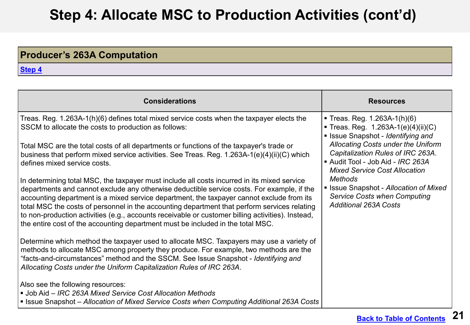## **Step 4: Allocate MSC to Production Activities (cont'd) <sup>2</sup>**

### **Producer's 263A Computation**

| <b>Considerations</b>                                                                                                                                                                                                                                                                                                                                                                                                                                                                                                                                                          | <b>Resources</b>                                                                                                                                   |
|--------------------------------------------------------------------------------------------------------------------------------------------------------------------------------------------------------------------------------------------------------------------------------------------------------------------------------------------------------------------------------------------------------------------------------------------------------------------------------------------------------------------------------------------------------------------------------|----------------------------------------------------------------------------------------------------------------------------------------------------|
| Treas. Reg. 1.263A-1(h)(6) defines total mixed service costs when the taxpayer elects the<br>SSCM to allocate the costs to production as follows:                                                                                                                                                                                                                                                                                                                                                                                                                              | Treas. Reg. 1.263A-1(h)(6)<br>Treas. Reg. $1.263A-1(e)(4)(ii)(C)$<br>Issue Snapshot - Identifying and                                              |
| Total MSC are the total costs of all departments or functions of the taxpayer's trade or<br>business that perform mixed service activities. See Treas. Reg. 1.263A-1(e)(4)(ii)(C) which<br>defines mixed service costs.                                                                                                                                                                                                                                                                                                                                                        | Allocating Costs under the Uniform<br>Capitalization Rules of IRC 263A.<br>Audit Tool - Job Aid - IRC 263A<br><b>Mixed Service Cost Allocation</b> |
| In determining total MSC, the taxpayer must include all costs incurred in its mixed service<br>departments and cannot exclude any otherwise deductible service costs. For example, if the<br>accounting department is a mixed service department, the taxpayer cannot exclude from its<br>total MSC the costs of personnel in the accounting department that perform services relating<br>to non-production activities (e.g., accounts receivable or customer billing activities). Instead,<br>the entire cost of the accounting department must be included in the total MSC. | <b>Methods</b><br><b>Example 3 Issue Snapshot - Allocation of Mixed</b><br><b>Service Costs when Computing</b><br><b>Additional 263A Costs</b>     |
| Determine which method the taxpayer used to allocate MSC. Taxpayers may use a variety of<br>methods to allocate MSC among property they produce. For example, two methods are the<br>"facts-and-circumstances" method and the SSCM. See Issue Snapshot - Identifying and<br>Allocating Costs under the Uniform Capitalization Rules of IRC 263A.                                                                                                                                                                                                                               |                                                                                                                                                    |
| Also see the following resources:<br>• Job Aid – IRC 263A Mixed Service Cost Allocation Methods<br>• Issue Snapshot – Allocation of Mixed Service Costs when Computing Additional 263A Costs                                                                                                                                                                                                                                                                                                                                                                                   |                                                                                                                                                    |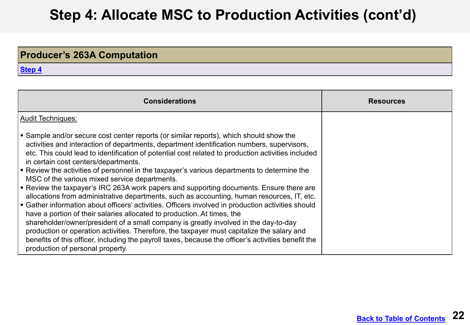## **Step 4: Allocate MSC to Production Activities (cont'd) <sup>3</sup>**

### **Producer's 263A Computation**

| <b>Considerations</b>                                                                                                                                                                                                                                                                                                                                                                                                                                                                                                                                                                                                                                                                                                                                                                                                                                                                                                                                                                                                                                                                                                                                                                     | <b>Resources</b> |
|-------------------------------------------------------------------------------------------------------------------------------------------------------------------------------------------------------------------------------------------------------------------------------------------------------------------------------------------------------------------------------------------------------------------------------------------------------------------------------------------------------------------------------------------------------------------------------------------------------------------------------------------------------------------------------------------------------------------------------------------------------------------------------------------------------------------------------------------------------------------------------------------------------------------------------------------------------------------------------------------------------------------------------------------------------------------------------------------------------------------------------------------------------------------------------------------|------------------|
| <b>Audit Techniques:</b>                                                                                                                                                                                                                                                                                                                                                                                                                                                                                                                                                                                                                                                                                                                                                                                                                                                                                                                                                                                                                                                                                                                                                                  |                  |
| • Sample and/or secure cost center reports (or similar reports), which should show the<br>activities and interaction of departments, department identification numbers, supervisors,<br>etc. This could lead to identification of potential cost related to production activities included<br>in certain cost centers/departments.<br>Review the activities of personnel in the taxpayer's various departments to determine the<br>MSC of the various mixed service departments.<br>Review the taxpayer's IRC 263A work papers and supporting documents. Ensure there are<br>allocations from administrative departments, such as accounting, human resources, IT, etc.<br>• Gather information about officers' activities. Officers involved in production activities should<br>have a portion of their salaries allocated to production. At times, the<br>shareholder/owner/president of a small company is greatly involved in the day-to-day<br>production or operation activities. Therefore, the taxpayer must capitalize the salary and<br>benefits of this officer, including the payroll taxes, because the officer's activities benefit the<br>production of personal property. |                  |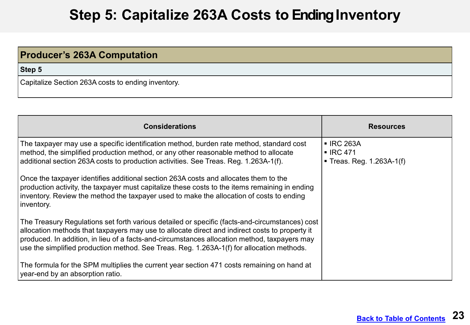## **Step 5: Capitalize 263A Costs to Ending Inventory**

<span id="page-22-0"></span>

| <b>Producer's 263A Computation</b>                 |
|----------------------------------------------------|
| Step 5                                             |
| Capitalize Section 263A costs to ending inventory. |

| <b>Considerations</b>                                                                                                                                                                                                                                                                                                                                                                         | <b>Resources</b>                                                           |
|-----------------------------------------------------------------------------------------------------------------------------------------------------------------------------------------------------------------------------------------------------------------------------------------------------------------------------------------------------------------------------------------------|----------------------------------------------------------------------------|
| The taxpayer may use a specific identification method, burden rate method, standard cost<br>method, the simplified production method, or any other reasonable method to allocate<br> additional section 263A costs to production activities. See Treas. Reg. 1.263A-1(f).                                                                                                                     | <b>- IRC 263A</b><br>$\blacksquare$ IRC 471<br>• Treas. Reg. $1.263A-1(f)$ |
| Once the taxpayer identifies additional section 263A costs and allocates them to the<br>production activity, the taxpayer must capitalize these costs to the items remaining in ending<br>inventory. Review the method the taxpayer used to make the allocation of costs to ending<br>inventory.                                                                                              |                                                                            |
| The Treasury Regulations set forth various detailed or specific (facts-and-circumstances) cost<br>allocation methods that taxpayers may use to allocate direct and indirect costs to property it<br>produced. In addition, in lieu of a facts-and-circumstances allocation method, taxpayers may<br>use the simplified production method. See Treas. Reg. 1.263A-1(f) for allocation methods. |                                                                            |
| The formula for the SPM multiplies the current year section 471 costs remaining on hand at<br>year-end by an absorption ratio.                                                                                                                                                                                                                                                                |                                                                            |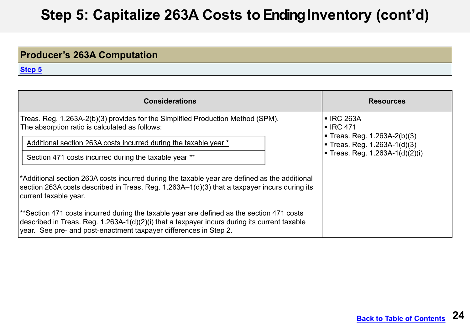#### **DRAFT Step 5: Capitalize 263A Costs to Ending Inventory (cont'd)**

### **Producer's 263A Computation**

| <b>Considerations</b>                                                                                                                                                                                                                                          | <b>Resources</b>                                                 |
|----------------------------------------------------------------------------------------------------------------------------------------------------------------------------------------------------------------------------------------------------------------|------------------------------------------------------------------|
| Treas. Reg. 1.263A-2(b)(3) provides for the Simplified Production Method (SPM).<br>The absorption ratio is calculated as follows:                                                                                                                              | <b>- IRC 263A</b><br>$\blacksquare$ IRC 471                      |
| Additional section 263A costs incurred during the taxable year *                                                                                                                                                                                               | ■ Treas. Reg. $1.263A-2(b)(3)$<br>■ Treas. Reg. $1.263A-1(d)(3)$ |
| Section 471 costs incurred during the taxable year **                                                                                                                                                                                                          | Treas. Reg. 1.263A-1(d)(2)(i)                                    |
| *Additional section 263A costs incurred during the taxable year are defined as the additional<br>section 263A costs described in Treas. Reg. 1.263A-1(d)(3) that a taxpayer incurs during its<br>current taxable year.                                         |                                                                  |
| **Section 471 costs incurred during the taxable year are defined as the section 471 costs<br>described in Treas. Reg. 1.263A-1(d)(2)(i) that a taxpayer incurs during its current taxable<br>year. See pre- and post-enactment taxpayer differences in Step 2. |                                                                  |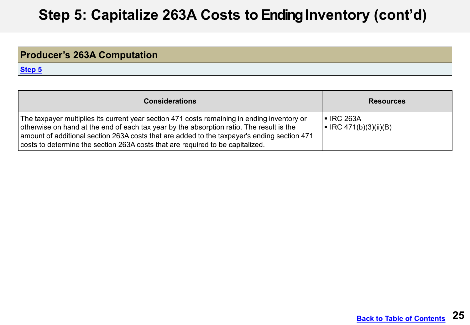#### **DRAFT Step 5: Capitalize 263A Costs to Ending Inventory (cont'd) <sup>2</sup>**

### **Producer's 263A Computation**

| <b>Considerations</b>                                                                                                                                                                                                                                                                                                                                                           | <b>Resources</b>                                         |
|---------------------------------------------------------------------------------------------------------------------------------------------------------------------------------------------------------------------------------------------------------------------------------------------------------------------------------------------------------------------------------|----------------------------------------------------------|
| The taxpayer multiplies its current year section 471 costs remaining in ending inventory or<br>otherwise on hand at the end of each tax year by the absorption ratio. The result is the<br>$\mid$ amount of additional section 263A costs that are added to the taxpayer's ending section 471<br>costs to determine the section 263A costs that are required to be capitalized. | $\blacksquare$ IRC 263A<br>$\mid$ = IRC 471(b)(3)(ii)(B) |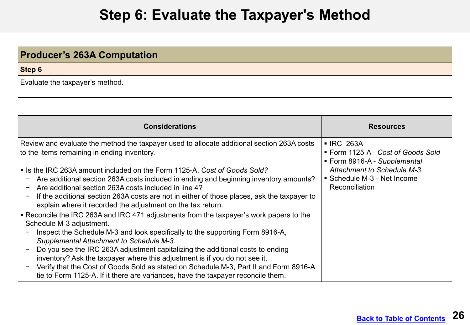## **Step 6: Evaluate the Taxpayer's Method**

### <span id="page-25-0"></span>**Producer's 263A Computation**

**Step 6**

Evaluate the taxpayer's method.

| <b>Considerations</b>                                                                                                                                                                                                                                                                                                                                                                                                                                                                                                                                                                                                                                                                                                                                                                                                                                                                                                                                                                                                                                                                                                                                            | <b>Resources</b>                                                                                                                                               |
|------------------------------------------------------------------------------------------------------------------------------------------------------------------------------------------------------------------------------------------------------------------------------------------------------------------------------------------------------------------------------------------------------------------------------------------------------------------------------------------------------------------------------------------------------------------------------------------------------------------------------------------------------------------------------------------------------------------------------------------------------------------------------------------------------------------------------------------------------------------------------------------------------------------------------------------------------------------------------------------------------------------------------------------------------------------------------------------------------------------------------------------------------------------|----------------------------------------------------------------------------------------------------------------------------------------------------------------|
| Review and evaluate the method the taxpayer used to allocate additional section 263A costs<br>to the items remaining in ending inventory.<br>Solia Is the IRC 263A amount included on the Form 1125-A, Cost of Goods Sold?<br>Are additional section 263A costs included in ending and beginning inventory amounts?<br>$\qquad \qquad -$<br>Are additional section 263A costs included in line 4?<br>If the additional section 263A costs are not in either of those places, ask the taxpayer to<br>explain where it recorded the adjustment on the tax return.<br>• Reconcile the IRC 263A and IRC 471 adjustments from the taxpayer's work papers to the<br>Schedule M-3 adjustment.<br>Inspect the Schedule M-3 and look specifically to the supporting Form 8916-A,<br>Supplemental Attachment to Schedule M-3.<br>Do you see the IRC 263A adjustment capitalizing the additional costs to ending<br>inventory? Ask the taxpayer where this adjustment is if you do not see it.<br>Verify that the Cost of Goods Sold as stated on Schedule M-3, Part II and Form 8916-A<br>tie to Form 1125-A. If it there are variances, have the taxpayer reconcile them. | ■ IRC 263A<br>■ Form 1125-A - Cost of Goods Sold<br>■ Form 8916-A - Supplemental<br>Attachment to Schedule M-3.<br>Schedule M-3 - Net Income<br>Reconciliation |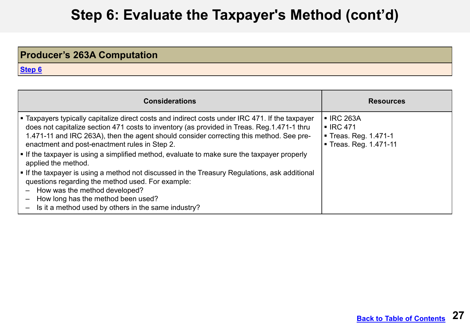## **Step 6: Evaluate the Taxpayer's Method (cont'd)**

### **Producer's 263A Computation**

| <b>Considerations</b>                                                                                                                                                                                                                                                                                                                                                                                                                                                                                                                                                                                                                                                                                                                                | <b>Resources</b>                                                                                     |
|------------------------------------------------------------------------------------------------------------------------------------------------------------------------------------------------------------------------------------------------------------------------------------------------------------------------------------------------------------------------------------------------------------------------------------------------------------------------------------------------------------------------------------------------------------------------------------------------------------------------------------------------------------------------------------------------------------------------------------------------------|------------------------------------------------------------------------------------------------------|
| ■ Taxpayers typically capitalize direct costs and indirect costs under IRC 471. If the taxpayer<br>does not capitalize section 471 costs to inventory (as provided in Treas. Reg. 1.471-1 thru<br>1.471-11 and IRC 263A), then the agent should consider correcting this method. See pre-<br>enactment and post-enactment rules in Step 2.<br>• If the taxpayer is using a simplified method, evaluate to make sure the taxpayer properly<br>applied the method.<br>• If the taxpayer is using a method not discussed in the Treasury Regulations, ask additional<br>questions regarding the method used. For example:<br>How was the method developed?<br>How long has the method been used?<br>Is it a method used by others in the same industry? | $\blacksquare$ IRC 263A<br>$\blacksquare$ IRC 471<br>■ Treas. Reg. 1.471-1<br>■ Treas. Reg. 1.471-11 |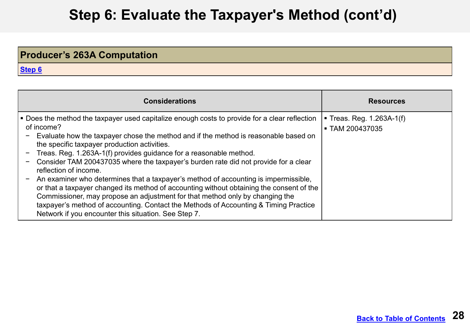## **Step 6: Evaluate the Taxpayer's Method (cont'd) <sup>2</sup>**

### **Producer's 263A Computation**

| <b>Considerations</b>                                                                                                                                                                                                                                                                                                                                                                                                                                                                                                                                                                                                                                                                                                                                                                                                                                       | <b>Resources</b>                             |
|-------------------------------------------------------------------------------------------------------------------------------------------------------------------------------------------------------------------------------------------------------------------------------------------------------------------------------------------------------------------------------------------------------------------------------------------------------------------------------------------------------------------------------------------------------------------------------------------------------------------------------------------------------------------------------------------------------------------------------------------------------------------------------------------------------------------------------------------------------------|----------------------------------------------|
| • Does the method the taxpayer used capitalize enough costs to provide for a clear reflection<br>of income?<br>Evaluate how the taxpayer chose the method and if the method is reasonable based on<br>the specific taxpayer production activities.<br>Treas. Reg. 1.263A-1(f) provides guidance for a reasonable method.<br>Consider TAM 200437035 where the taxpayer's burden rate did not provide for a clear<br>reflection of income.<br>An examiner who determines that a taxpayer's method of accounting is impermissible,<br>or that a taxpayer changed its method of accounting without obtaining the consent of the<br>Commissioner, may propose an adjustment for that method only by changing the<br>taxpayer's method of accounting. Contact the Methods of Accounting & Timing Practice<br>Network if you encounter this situation. See Step 7. | ■ Treas. Reg. 1.263A-1(f)<br>■ TAM 200437035 |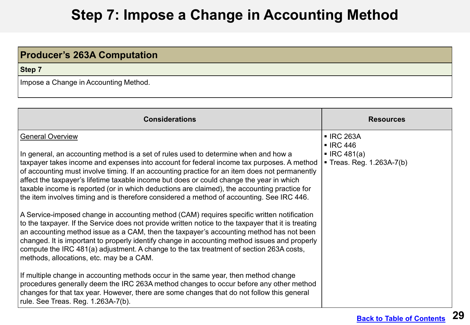## **Step 7: Impose a Change in Accounting Method**

<span id="page-28-0"></span>

| <b>Producer's 263A Computation</b>    |  |
|---------------------------------------|--|
| Step 7                                |  |
| Impose a Change in Accounting Method. |  |

| <b>Considerations</b>                                                                                                                                                                                                                                                                                                                                                                                                                                                                                                                                                                                                                                                                                                                                                                                                                                                                                                                                                                                                                                                                                                                         | <b>Resources</b>                                                                                    |
|-----------------------------------------------------------------------------------------------------------------------------------------------------------------------------------------------------------------------------------------------------------------------------------------------------------------------------------------------------------------------------------------------------------------------------------------------------------------------------------------------------------------------------------------------------------------------------------------------------------------------------------------------------------------------------------------------------------------------------------------------------------------------------------------------------------------------------------------------------------------------------------------------------------------------------------------------------------------------------------------------------------------------------------------------------------------------------------------------------------------------------------------------|-----------------------------------------------------------------------------------------------------|
| <b>General Overview</b><br>In general, an accounting method is a set of rules used to determine when and how a<br>taxpayer takes income and expenses into account for federal income tax purposes. A method<br>of accounting must involve timing. If an accounting practice for an item does not permanently<br>affect the taxpayer's lifetime taxable income but does or could change the year in which<br>taxable income is reported (or in which deductions are claimed), the accounting practice for<br>the item involves timing and is therefore considered a method of accounting. See IRC 446.<br>A Service-imposed change in accounting method (CAM) requires specific written notification<br>to the taxpayer. If the Service does not provide written notice to the taxpayer that it is treating<br>an accounting method issue as a CAM, then the taxpayer's accounting method has not been<br>changed. It is important to properly identify change in accounting method issues and properly<br>compute the IRC 481(a) adjustment. A change to the tax treatment of section 263A costs,<br>methods, allocations, etc. may be a CAM. | <b>- IRC 263A</b><br>$\blacksquare$ IRC 446<br>$\blacksquare$ IRC 481(a)<br>Treas. Reg. 1.263A-7(b) |
| If multiple change in accounting methods occur in the same year, then method change<br>procedures generally deem the IRC 263A method changes to occur before any other method<br>changes for that tax year. However, there are some changes that do not follow this general<br>rule. See Treas. Reg. 1.263A-7(b).                                                                                                                                                                                                                                                                                                                                                                                                                                                                                                                                                                                                                                                                                                                                                                                                                             |                                                                                                     |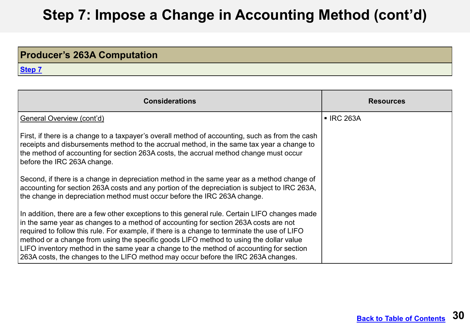#### **DRAFT Step 7: Impose a Change in Accounting Method (cont'd)**

### **Producer's 263A Computation**

| <b>Considerations</b>                                                                                                                                                                                                                                                                                                                                                                                                                                                                                                                                           | <b>Resources</b>        |
|-----------------------------------------------------------------------------------------------------------------------------------------------------------------------------------------------------------------------------------------------------------------------------------------------------------------------------------------------------------------------------------------------------------------------------------------------------------------------------------------------------------------------------------------------------------------|-------------------------|
| General Overview (cont'd)                                                                                                                                                                                                                                                                                                                                                                                                                                                                                                                                       | $\blacksquare$ IRC 263A |
| First, if there is a change to a taxpayer's overall method of accounting, such as from the cash<br>receipts and disbursements method to the accrual method, in the same tax year a change to<br>the method of accounting for section 263A costs, the accrual method change must occur<br>before the IRC 263A change.                                                                                                                                                                                                                                            |                         |
| Second, if there is a change in depreciation method in the same year as a method change of<br>accounting for section 263A costs and any portion of the depreciation is subject to IRC 263A,<br>the change in depreciation method must occur before the IRC 263A change.                                                                                                                                                                                                                                                                                         |                         |
| In addition, there are a few other exceptions to this general rule. Certain LIFO changes made<br>in the same year as changes to a method of accounting for section 263A costs are not<br>required to follow this rule. For example, if there is a change to terminate the use of LIFO<br>method or a change from using the specific goods LIFO method to using the dollar value<br>LIFO inventory method in the same year a change to the method of accounting for section<br>263A costs, the changes to the LIFO method may occur before the IRC 263A changes. |                         |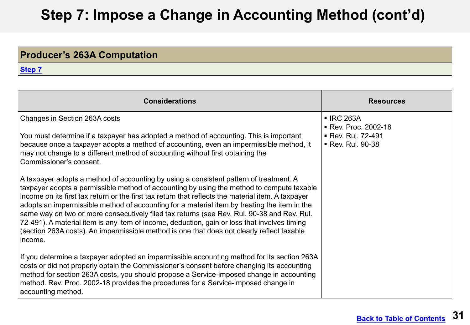#### **DRAFT Step 7: Impose a Change in Accounting Method (cont'd) <sup>2</sup>**

### **Producer's 263A Computation**

| <b>Considerations</b>                                                                                                                                                                                                                                                                                                                                                                                                                                                                                                                                                                                                                                                                            | <b>Resources</b>                                                              |
|--------------------------------------------------------------------------------------------------------------------------------------------------------------------------------------------------------------------------------------------------------------------------------------------------------------------------------------------------------------------------------------------------------------------------------------------------------------------------------------------------------------------------------------------------------------------------------------------------------------------------------------------------------------------------------------------------|-------------------------------------------------------------------------------|
| Changes in Section 263A costs<br>You must determine if a taxpayer has adopted a method of accounting. This is important<br>because once a taxpayer adopts a method of accounting, even an impermissible method, it<br>may not change to a different method of accounting without first obtaining the<br>Commissioner's consent.                                                                                                                                                                                                                                                                                                                                                                  | ■ IRC 263A<br>■ Rev. Proc. 2002-18<br>• Rev. Rul. 72-491<br>■ Rev. Rul. 90-38 |
| A taxpayer adopts a method of accounting by using a consistent pattern of treatment. A<br>taxpayer adopts a permissible method of accounting by using the method to compute taxable<br>income on its first tax return or the first tax return that reflects the material item. A taxpayer<br>adopts an impermissible method of accounting for a material item by treating the item in the<br>same way on two or more consecutively filed tax returns (see Rev. Rul. 90-38 and Rev. Rul.<br>72-491). A material item is any item of income, deduction, gain or loss that involves timing<br>(section 263A costs). An impermissible method is one that does not clearly reflect taxable<br>income. |                                                                               |
| If you determine a taxpayer adopted an impermissible accounting method for its section 263A<br>costs or did not properly obtain the Commissioner's consent before changing its accounting<br>method for section 263A costs, you should propose a Service-imposed change in accounting<br>method. Rev. Proc. 2002-18 provides the procedures for a Service-imposed change in<br>accounting method.                                                                                                                                                                                                                                                                                                |                                                                               |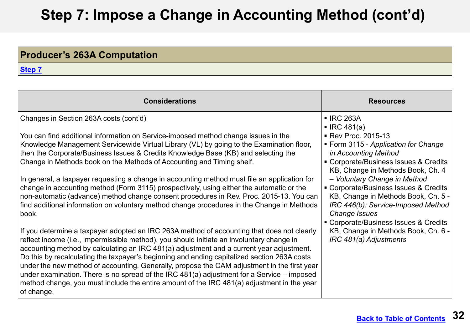#### **DRAFT Step 7: Impose a Change in Accounting Method (cont'd) <sup>3</sup>**

### **Producer's 263A Computation**

| <b>Considerations</b>                                                                                                                                                                                                                                                                                                                                                                                                                                                                                                                                                                                                                                                                         | <b>Resources</b>                                                                                                                    |
|-----------------------------------------------------------------------------------------------------------------------------------------------------------------------------------------------------------------------------------------------------------------------------------------------------------------------------------------------------------------------------------------------------------------------------------------------------------------------------------------------------------------------------------------------------------------------------------------------------------------------------------------------------------------------------------------------|-------------------------------------------------------------------------------------------------------------------------------------|
| Changes in Section 263A costs (cont'd)                                                                                                                                                                                                                                                                                                                                                                                                                                                                                                                                                                                                                                                        | ■ IRC 263A<br>$\blacksquare$ IRC 481(a)                                                                                             |
| You can find additional information on Service-imposed method change issues in the<br>Knowledge Management Servicewide Virtual Library (VL) by going to the Examination floor,                                                                                                                                                                                                                                                                                                                                                                                                                                                                                                                | ■ Rev Proc. 2015-13<br>• Form 3115 - Application for Change                                                                         |
| then the Corporate/Business Issues & Credits Knowledge Base (KB) and selecting the<br>Change in Methods book on the Methods of Accounting and Timing shelf.                                                                                                                                                                                                                                                                                                                                                                                                                                                                                                                                   | in Accounting Method<br>• Corporate/Business Issues & Credits                                                                       |
| In general, a taxpayer requesting a change in accounting method must file an application for                                                                                                                                                                                                                                                                                                                                                                                                                                                                                                                                                                                                  | KB, Change in Methods Book, Ch. 4<br>- Voluntary Change in Method                                                                   |
| change in accounting method (Form 3115) prospectively, using either the automatic or the<br>non-automatic (advance) method change consent procedures in Rev. Proc. 2015-13. You can<br>find additional information on voluntary method change procedures in the Change in Methods<br>book.                                                                                                                                                                                                                                                                                                                                                                                                    | • Corporate/Business Issues & Credits<br>KB, Change in Methods Book, Ch. 5 -<br>IRC 446(b): Service-Imposed Method<br>Change Issues |
| If you determine a taxpayer adopted an IRC 263A method of accounting that does not clearly<br>reflect income (i.e., impermissible method), you should initiate an involuntary change in<br>accounting method by calculating an IRC 481(a) adjustment and a current year adjustment.<br>Do this by recalculating the taxpayer's beginning and ending capitalized section 263A costs<br>under the new method of accounting. Generally, propose the CAM adjustment in the first year<br>under examination. There is no spread of the IRC $481(a)$ adjustment for a Service – imposed<br>method change, you must include the entire amount of the IRC 481(a) adjustment in the year<br>of change. | • Corporate/Business Issues & Credits<br>KB, Change in Methods Book, Ch. 6 -<br>IRC 481(a) Adjustments                              |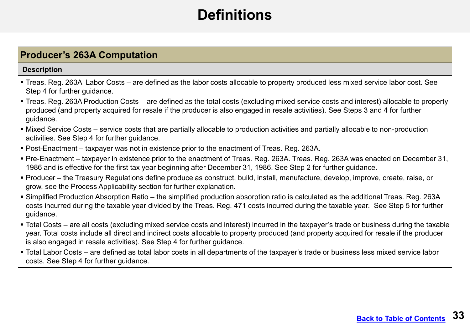# **Definitions**

#### <span id="page-32-0"></span>**Producer's 263A Computation**

#### **Description**

- Treas. Reg. 263A Labor Costs are defined as the labor costs allocable to property produced less mixed service labor cost. See Step 4 for further guidance.
- Treas. Reg. 263A Production Costs are defined as the total costs (excluding mixed service costs and interest) allocable to property produced (and property acquired for resale if the producer is also engaged in resale activities). See Steps 3 and 4 for further guidance.
- Mixed Service Costs service costs that are partially allocable to production activities and partially allocable to non-production activities. See Step 4 for further guidance.
- Post-Enactment taxpayer was not in existence prior to the enactment of Treas. Reg. 263A.
- Pre-Enactment taxpayer in existence prior to the enactment of Treas. Reg. 263A. Treas. Reg. 263A was enacted on December 31, 1986 and is effective for the first tax year beginning after December 31, 1986. See Step 2 for further guidance.
- Producer the Treasury Regulations define produce as construct, build, install, manufacture, develop, improve, create, raise, or grow, see the Process Applicability section for further explanation.
- Simplified Production Absorption Ratio the simplified production absorption ratio is calculated as the additional Treas. Reg. 263A costs incurred during the taxable year divided by the Treas. Reg. 471 costs incurred during the taxable year. See Step 5 for further guidance.
- Total Costs are all costs (excluding mixed service costs and interest) incurred in the taxpayer's trade or business during the taxable year. Total costs include all direct and indirect costs allocable to property produced (and property acquired for resale if the producer is also engaged in resale activities). See Step 4 for further guidance.
- Total Labor Costs are defined as total labor costs in all departments of the taxpayer's trade or business less mixed service labor costs. See Step 4 for further guidance.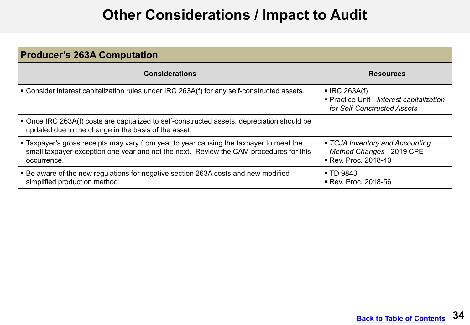# **Other Considerations / Impact to Audit**

<span id="page-33-0"></span>

| <b>Producer's 263A Computation</b>                                                                                                                                                               |                                                                                                        |
|--------------------------------------------------------------------------------------------------------------------------------------------------------------------------------------------------|--------------------------------------------------------------------------------------------------------|
| <b>Considerations</b>                                                                                                                                                                            | <b>Resources</b>                                                                                       |
| • Consider interest capitalization rules under IRC 263A(f) for any self-constructed assets.                                                                                                      | $\blacksquare$ IRC 263A(f)<br>■ Practice Unit - Interest capitalization<br>for Self-Constructed Assets |
| • Once IRC 263A(f) costs are capitalized to self-constructed assets, depreciation should be<br>updated due to the change in the basis of the asset.                                              |                                                                                                        |
| • Taxpayer's gross receipts may vary from year to year causing the taxpayer to meet the<br>small taxpayer exception one year and not the next. Review the CAM procedures for this<br>occurrence. | • TCJA Inventory and Accounting<br>Method Changes - 2019 CPE<br>■ Rev. Proc. 2018-40                   |
| • Be aware of the new regulations for negative section 263A costs and new modified<br>simplified production method.                                                                              | <b>TD 9843</b><br>Rev. Proc. 2018-56                                                                   |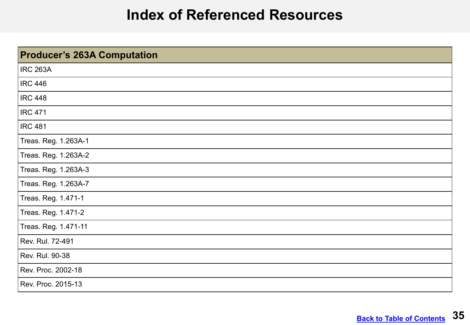### **Index of Referenced Resources**

<span id="page-34-0"></span>

| <b>Producer's 263A Computation</b> |  |
|------------------------------------|--|
| <b>IRC 263A</b>                    |  |
| <b>IRC 446</b>                     |  |
| <b>IRC 448</b>                     |  |
| <b>IRC 471</b>                     |  |
| <b>IRC 481</b>                     |  |
| Treas. Reg. 1.263A-1               |  |
| Treas. Reg. 1.263A-2               |  |
| Treas. Reg. 1.263A-3               |  |
| Treas. Reg. 1.263A-7               |  |
| Treas. Reg. 1.471-1                |  |
| Treas. Reg. 1.471-2                |  |
| Treas. Reg. 1.471-11               |  |
| Rev. Rul. 72-491                   |  |
| Rev. Rul. 90-38                    |  |
| Rev. Proc. 2002-18                 |  |
| Rev. Proc. 2015-13                 |  |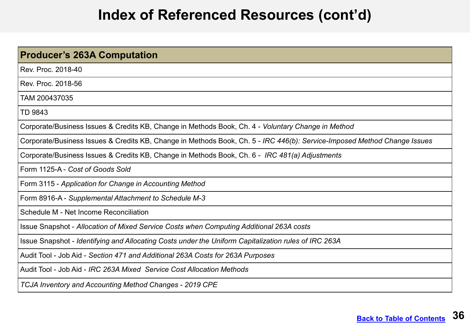## **Index of Referenced Resources (cont'd)**

| Producer's 263A Computation                                                                                              |
|--------------------------------------------------------------------------------------------------------------------------|
| Rev. Proc. 2018-40                                                                                                       |
| Rev. Proc. 2018-56                                                                                                       |
| TAM 200437035                                                                                                            |
| TD 9843                                                                                                                  |
| Corporate/Business Issues & Credits KB, Change in Methods Book, Ch. 4 - Voluntary Change in Method                       |
| Corporate/Business Issues & Credits KB, Change in Methods Book, Ch. 5 - IRC 446(b): Service-Imposed Method Change Issues |
| Corporate/Business Issues & Credits KB, Change in Methods Book, Ch. 6 - IRC 481(a) Adjustments                           |
| Form 1125-A - Cost of Goods Sold                                                                                         |
| Form 3115 - Application for Change in Accounting Method                                                                  |
| Form 8916-A - Supplemental Attachment to Schedule M-3                                                                    |
| Schedule M - Net Income Reconciliation                                                                                   |
| Issue Snapshot - Allocation of Mixed Service Costs when Computing Additional 263A costs                                  |
| Issue Snapshot - Identifying and Allocating Costs under the Uniform Capitalization rules of IRC 263A                     |
| Audit Tool - Job Aid - Section 471 and Additional 263A Costs for 263A Purposes                                           |
| Audit Tool - Job Aid - IRC 263A Mixed Service Cost Allocation Methods                                                    |
| TCJA Inventory and Accounting Method Changes - 2019 CPE                                                                  |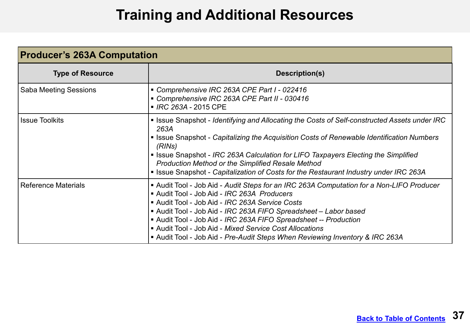## **Training and Additional Resources**

<span id="page-36-0"></span>

| <b>Producer's 263A Computation</b> |                                                                                                                                                                                                                                                                                                                                                                                                                                                                                      |  |
|------------------------------------|--------------------------------------------------------------------------------------------------------------------------------------------------------------------------------------------------------------------------------------------------------------------------------------------------------------------------------------------------------------------------------------------------------------------------------------------------------------------------------------|--|
| <b>Type of Resource</b>            | Description(s)                                                                                                                                                                                                                                                                                                                                                                                                                                                                       |  |
| <b>Saba Meeting Sessions</b>       | Comprehensive IRC 263A CPE Part I - 022416<br>Comprehensive IRC 263A CPE Part II - 030416<br>■ IRC 263A - 2015 CPE                                                                                                                                                                                                                                                                                                                                                                   |  |
| <b>Issue Toolkits</b>              | <b>Example 2 Issue Snapshot - Identifying and Allocating the Costs of Self-constructed Assets under IRC</b><br>263A<br>• Issue Snapshot - Capitalizing the Acquisition Costs of Renewable Identification Numbers<br>(RINS)<br>• Issue Snapshot - IRC 263A Calculation for LIFO Taxpayers Electing the Simplified<br><b>Production Method or the Simplified Resale Method</b><br><b>Example 3</b> Issue Snapshot - Capitalization of Costs for the Restaurant Industry under IRC 263A |  |
| <b>Reference Materials</b>         | Audit Tool - Job Aid - Audit Steps for an IRC 263A Computation for a Non-LIFO Producer<br>Audit Tool - Job Aid - IRC 263A Producers<br>Audit Tool - Job Aid - IRC 263A Service Costs<br>Audit Tool - Job Aid - IRC 263A FIFO Spreadsheet - Labor based<br>Audit Tool - Job Aid - IRC 263A FIFO Spreadsheet -- Production<br>Audit Tool - Job Aid - Mixed Service Cost Allocations<br>■ Audit Tool - Job Aid - Pre-Audit Steps When Reviewing Inventory & IRC 263A                    |  |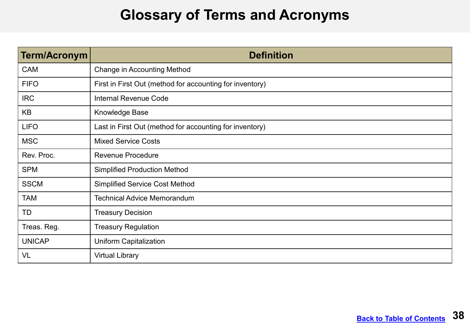## **Glossary of Terms and Acronyms**

<span id="page-37-0"></span>

| <b>Term/Acronym</b> | <b>Definition</b>                                        |
|---------------------|----------------------------------------------------------|
| <b>CAM</b>          | <b>Change in Accounting Method</b>                       |
| <b>FIFO</b>         | First in First Out (method for accounting for inventory) |
| <b>IRC</b>          | <b>Internal Revenue Code</b>                             |
| KB                  | Knowledge Base                                           |
| <b>LIFO</b>         | Last in First Out (method for accounting for inventory)  |
| <b>MSC</b>          | <b>Mixed Service Costs</b>                               |
| Rev. Proc.          | <b>Revenue Procedure</b>                                 |
| <b>SPM</b>          | <b>Simplified Production Method</b>                      |
| <b>SSCM</b>         | <b>Simplified Service Cost Method</b>                    |
| TAM                 | <b>Technical Advice Memorandum</b>                       |
| TD                  | <b>Treasury Decision</b>                                 |
| Treas. Reg.         | <b>Treasury Regulation</b>                               |
| <b>UNICAP</b>       | <b>Uniform Capitalization</b>                            |
| VL                  | <b>Virtual Library</b>                                   |